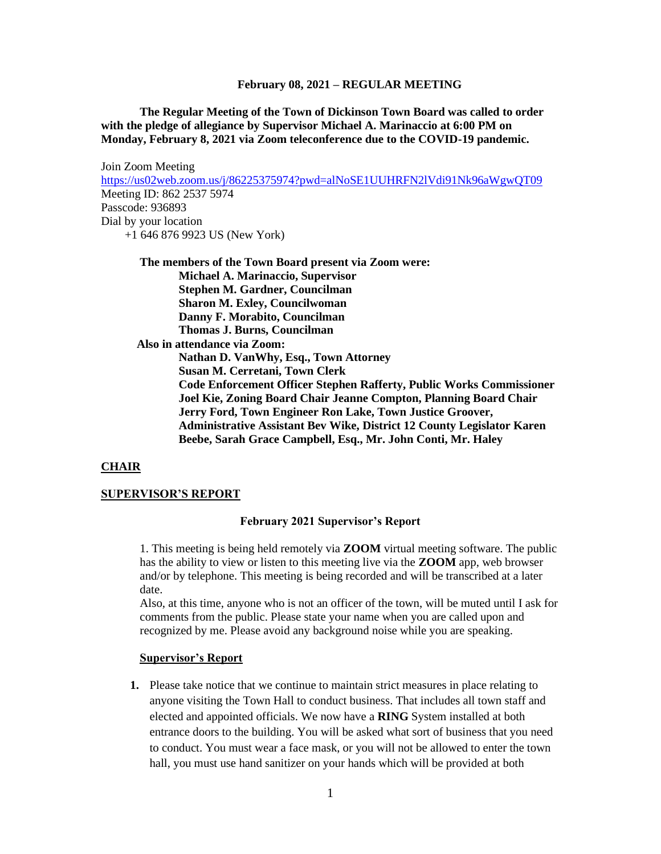**The Regular Meeting of the Town of Dickinson Town Board was called to order with the pledge of allegiance by Supervisor Michael A. Marinaccio at 6:00 PM on Monday, February 8, 2021 via Zoom teleconference due to the COVID-19 pandemic.** 

Join Zoom Meeting <https://us02web.zoom.us/j/86225375974?pwd=alNoSE1UUHRFN2lVdi91Nk96aWgwQT09> Meeting ID: 862 2537 5974 Passcode: 936893 Dial by your location +1 646 876 9923 US (New York)

**The members of the Town Board present via Zoom were: Michael A. Marinaccio, Supervisor Stephen M. Gardner, Councilman Sharon M. Exley, Councilwoman Danny F. Morabito, Councilman Thomas J. Burns, Councilman Also in attendance via Zoom: Nathan D. VanWhy, Esq., Town Attorney Susan M. Cerretani, Town Clerk Code Enforcement Officer Stephen Rafferty, Public Works Commissioner Joel Kie, Zoning Board Chair Jeanne Compton, Planning Board Chair Jerry Ford, Town Engineer Ron Lake, Town Justice Groover, Administrative Assistant Bev Wike, District 12 County Legislator Karen Beebe, Sarah Grace Campbell, Esq., Mr. John Conti, Mr. Haley**

#### **CHAIR**

#### **SUPERVISOR'S REPORT**

#### **February 2021 Supervisor's Report**

1. This meeting is being held remotely via **ZOOM** virtual meeting software. The public has the ability to view or listen to this meeting live via the **ZOOM** app, web browser and/or by telephone. This meeting is being recorded and will be transcribed at a later date.

Also, at this time, anyone who is not an officer of the town, will be muted until I ask for comments from the public. Please state your name when you are called upon and recognized by me. Please avoid any background noise while you are speaking.

#### **Supervisor's Report**

**1.** Please take notice that we continue to maintain strict measures in place relating to anyone visiting the Town Hall to conduct business. That includes all town staff and elected and appointed officials. We now have a **RING** System installed at both entrance doors to the building. You will be asked what sort of business that you need to conduct. You must wear a face mask, or you will not be allowed to enter the town hall, you must use hand sanitizer on your hands which will be provided at both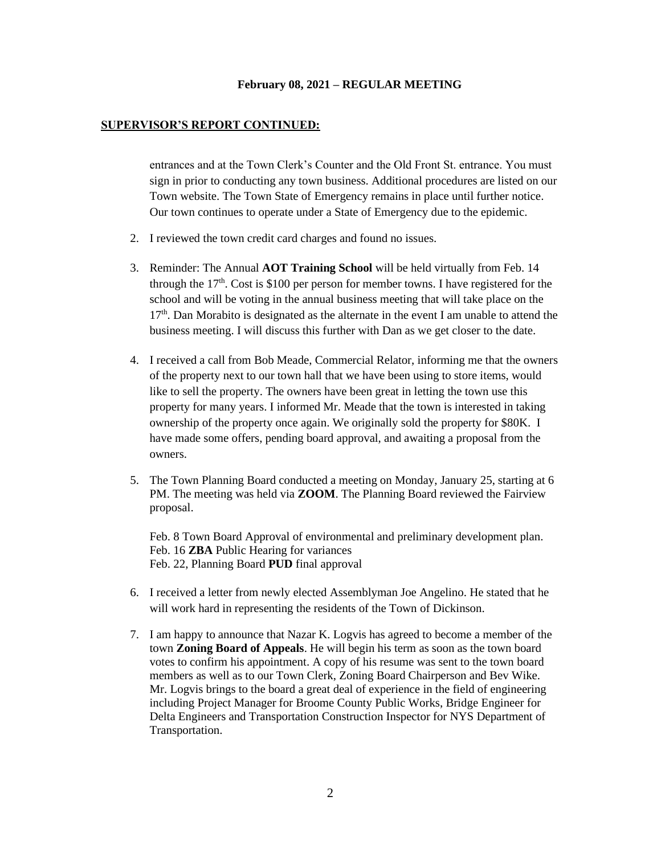#### **SUPERVISOR'S REPORT CONTINUED:**

entrances and at the Town Clerk's Counter and the Old Front St. entrance. You must sign in prior to conducting any town business. Additional procedures are listed on our Town website. The Town State of Emergency remains in place until further notice. Our town continues to operate under a State of Emergency due to the epidemic.

- 2. I reviewed the town credit card charges and found no issues.
- 3. Reminder: The Annual **AOT Training School** will be held virtually from Feb. 14 through the  $17<sup>th</sup>$ . Cost is \$100 per person for member towns. I have registered for the school and will be voting in the annual business meeting that will take place on the 17<sup>th</sup>. Dan Morabito is designated as the alternate in the event I am unable to attend the business meeting. I will discuss this further with Dan as we get closer to the date.
- 4. I received a call from Bob Meade, Commercial Relator, informing me that the owners of the property next to our town hall that we have been using to store items, would like to sell the property. The owners have been great in letting the town use this property for many years. I informed Mr. Meade that the town is interested in taking ownership of the property once again. We originally sold the property for \$80K. I have made some offers, pending board approval, and awaiting a proposal from the owners.
- 5. The Town Planning Board conducted a meeting on Monday, January 25, starting at 6 PM. The meeting was held via **ZOOM**. The Planning Board reviewed the Fairview proposal.

Feb. 8 Town Board Approval of environmental and preliminary development plan. Feb. 16 **ZBA** Public Hearing for variances Feb. 22, Planning Board **PUD** final approval

- 6. I received a letter from newly elected Assemblyman Joe Angelino. He stated that he will work hard in representing the residents of the Town of Dickinson.
- 7. I am happy to announce that Nazar K. Logvis has agreed to become a member of the town **Zoning Board of Appeals**. He will begin his term as soon as the town board votes to confirm his appointment. A copy of his resume was sent to the town board members as well as to our Town Clerk, Zoning Board Chairperson and Bev Wike. Mr. Logvis brings to the board a great deal of experience in the field of engineering including Project Manager for Broome County Public Works, Bridge Engineer for Delta Engineers and Transportation Construction Inspector for NYS Department of Transportation.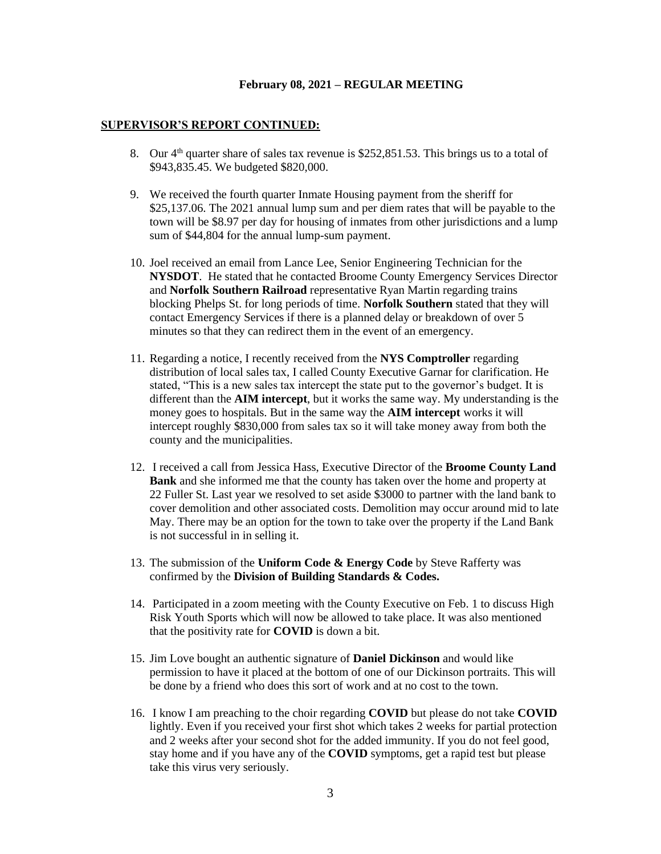#### **SUPERVISOR'S REPORT CONTINUED:**

- 8. Our  $4<sup>th</sup>$  quarter share of sales tax revenue is \$252,851.53. This brings us to a total of \$943,835.45. We budgeted \$820,000.
- 9. We received the fourth quarter Inmate Housing payment from the sheriff for \$25,137.06. The 2021 annual lump sum and per diem rates that will be payable to the town will be \$8.97 per day for housing of inmates from other jurisdictions and a lump sum of \$44,804 for the annual lump-sum payment.
- 10. Joel received an email from Lance Lee, Senior Engineering Technician for the **NYSDOT**. He stated that he contacted Broome County Emergency Services Director and **Norfolk Southern Railroad** representative Ryan Martin regarding trains blocking Phelps St. for long periods of time. **Norfolk Southern** stated that they will contact Emergency Services if there is a planned delay or breakdown of over 5 minutes so that they can redirect them in the event of an emergency.
- 11. Regarding a notice, I recently received from the **NYS Comptroller** regarding distribution of local sales tax, I called County Executive Garnar for clarification. He stated, "This is a new sales tax intercept the state put to the governor's budget. It is different than the **AIM intercept**, but it works the same way. My understanding is the money goes to hospitals. But in the same way the **AIM intercept** works it will intercept roughly \$830,000 from sales tax so it will take money away from both the county and the municipalities.
- 12. I received a call from Jessica Hass, Executive Director of the **Broome County Land Bank** and she informed me that the county has taken over the home and property at 22 Fuller St. Last year we resolved to set aside \$3000 to partner with the land bank to cover demolition and other associated costs. Demolition may occur around mid to late May. There may be an option for the town to take over the property if the Land Bank is not successful in in selling it.
- 13. The submission of the **Uniform Code & Energy Code** by Steve Rafferty was confirmed by the **Division of Building Standards & Codes.**
- 14. Participated in a zoom meeting with the County Executive on Feb. 1 to discuss High Risk Youth Sports which will now be allowed to take place. It was also mentioned that the positivity rate for **COVID** is down a bit.
- 15. Jim Love bought an authentic signature of **Daniel Dickinson** and would like permission to have it placed at the bottom of one of our Dickinson portraits. This will be done by a friend who does this sort of work and at no cost to the town.
- 16. I know I am preaching to the choir regarding **COVID** but please do not take **COVID** lightly. Even if you received your first shot which takes 2 weeks for partial protection and 2 weeks after your second shot for the added immunity. If you do not feel good, stay home and if you have any of the **COVID** symptoms, get a rapid test but please take this virus very seriously.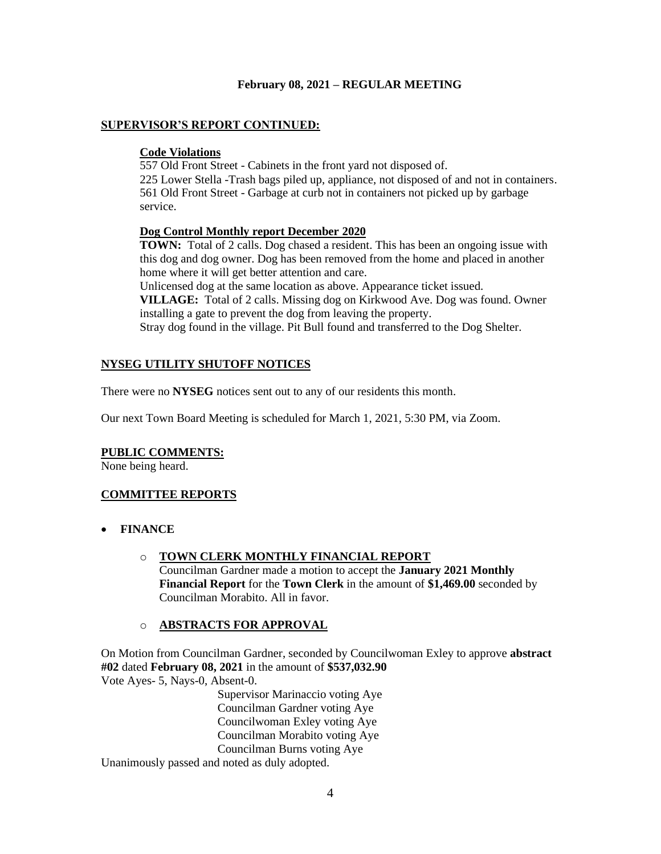# **SUPERVISOR'S REPORT CONTINUED:**

# **Code Violations**

557 Old Front Street - Cabinets in the front yard not disposed of. 225 Lower Stella -Trash bags piled up, appliance, not disposed of and not in containers. 561 Old Front Street - Garbage at curb not in containers not picked up by garbage service.

# **Dog Control Monthly report December 2020**

**TOWN:** Total of 2 calls. Dog chased a resident. This has been an ongoing issue with this dog and dog owner. Dog has been removed from the home and placed in another home where it will get better attention and care.

Unlicensed dog at the same location as above. Appearance ticket issued. **VILLAGE:** Total of 2 calls. Missing dog on Kirkwood Ave. Dog was found. Owner

installing a gate to prevent the dog from leaving the property.

Stray dog found in the village. Pit Bull found and transferred to the Dog Shelter.

# **NYSEG UTILITY SHUTOFF NOTICES**

There were no **NYSEG** notices sent out to any of our residents this month.

Our next Town Board Meeting is scheduled for March 1, 2021, 5:30 PM, via Zoom.

# **PUBLIC COMMENTS:**

None being heard.

# **COMMITTEE REPORTS**

- **FINANCE**
	- o **TOWN CLERK MONTHLY FINANCIAL REPORT** Councilman Gardner made a motion to accept the **January 2021 Monthly Financial Report** for the **Town Clerk** in the amount of **\$1,469.00** seconded by Councilman Morabito. All in favor.

# o **ABSTRACTS FOR APPROVAL**

On Motion from Councilman Gardner, seconded by Councilwoman Exley to approve **abstract #02** dated **February 08, 2021** in the amount of **\$537,032.90** Vote Ayes- 5, Nays-0, Absent-0.

> Supervisor Marinaccio voting Aye Councilman Gardner voting Aye Councilwoman Exley voting Aye Councilman Morabito voting Aye Councilman Burns voting Aye

Unanimously passed and noted as duly adopted.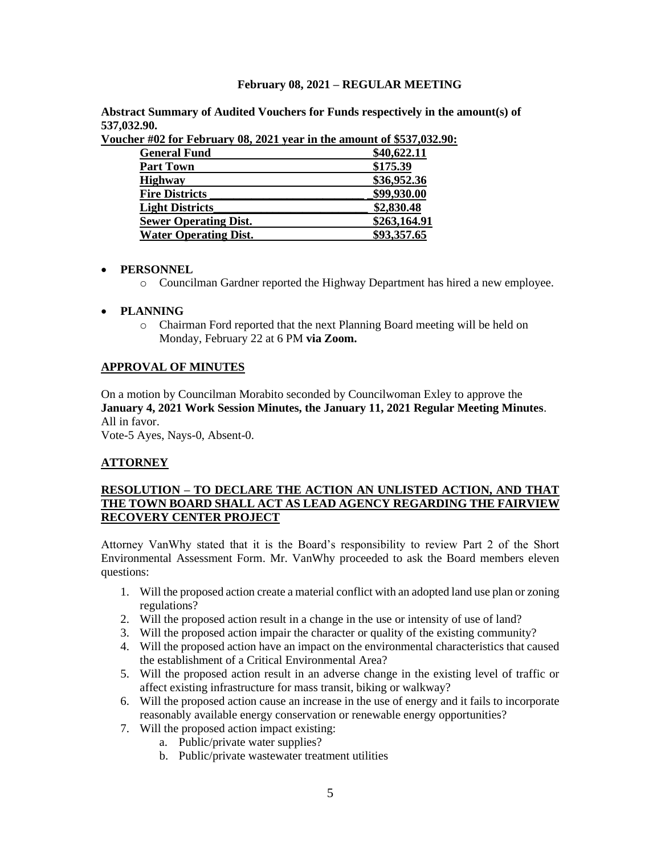**Abstract Summary of Audited Vouchers for Funds respectively in the amount(s) of 537,032.90.** 

| $\mu$ was not a correctly bot some year in the amount of $\phi \omega \nu_1 \omega \omega_2$ |              |
|----------------------------------------------------------------------------------------------|--------------|
| <b>General Fund</b>                                                                          | \$40,622.11  |
| <b>Part Town</b>                                                                             | \$175.39     |
| <b>Highway</b>                                                                               | \$36,952.36  |
| <b>Fire Districts</b>                                                                        | \$99,930.00  |
| <b>Light Districts</b>                                                                       | \$2,830.48   |
| <b>Sewer Operating Dist.</b>                                                                 | \$263,164.91 |
| <b>Water Operating Dist.</b>                                                                 | \$93,357.65  |

**Voucher #02 for February 08, 2021 year in the amount of \$537,032.90:** 

# • **PERSONNEL**

o Councilman Gardner reported the Highway Department has hired a new employee.

# • **PLANNING**

o Chairman Ford reported that the next Planning Board meeting will be held on Monday, February 22 at 6 PM **via Zoom.**

# **APPROVAL OF MINUTES**

On a motion by Councilman Morabito seconded by Councilwoman Exley to approve the **January 4, 2021 Work Session Minutes, the January 11, 2021 Regular Meeting Minutes**. All in favor.

Vote-5 Ayes, Nays-0, Absent-0.

# **ATTORNEY**

# **RESOLUTION – TO DECLARE THE ACTION AN UNLISTED ACTION, AND THAT THE TOWN BOARD SHALL ACT AS LEAD AGENCY REGARDING THE FAIRVIEW RECOVERY CENTER PROJECT**

Attorney VanWhy stated that it is the Board's responsibility to review Part 2 of the Short Environmental Assessment Form. Mr. VanWhy proceeded to ask the Board members eleven questions:

- 1. Will the proposed action create a material conflict with an adopted land use plan or zoning regulations?
- 2. Will the proposed action result in a change in the use or intensity of use of land?
- 3. Will the proposed action impair the character or quality of the existing community?
- 4. Will the proposed action have an impact on the environmental characteristics that caused the establishment of a Critical Environmental Area?
- 5. Will the proposed action result in an adverse change in the existing level of traffic or affect existing infrastructure for mass transit, biking or walkway?
- 6. Will the proposed action cause an increase in the use of energy and it fails to incorporate reasonably available energy conservation or renewable energy opportunities?
- 7. Will the proposed action impact existing:
	- a. Public/private water supplies?
	- b. Public/private wastewater treatment utilities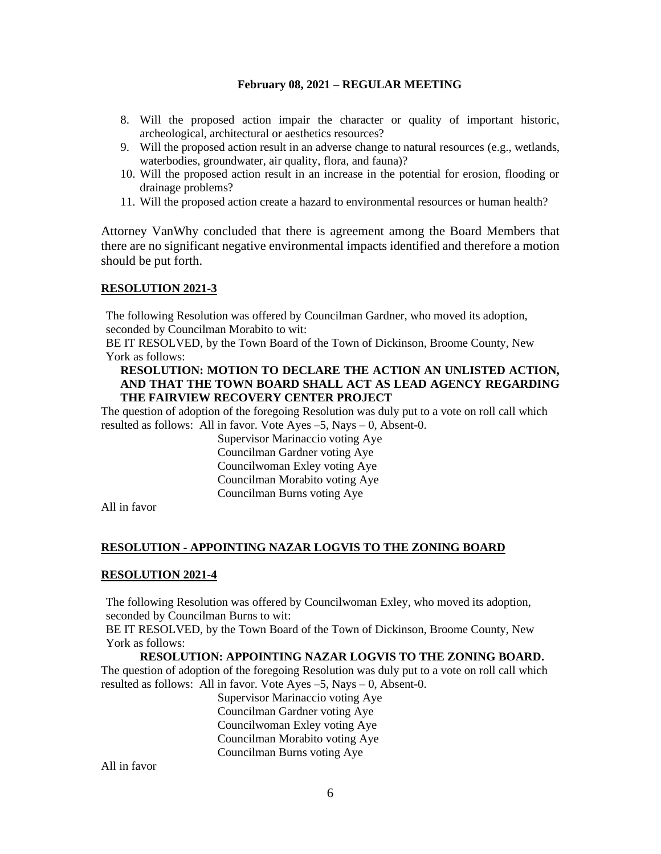- 8. Will the proposed action impair the character or quality of important historic, archeological, architectural or aesthetics resources?
- 9. Will the proposed action result in an adverse change to natural resources (e.g., wetlands, waterbodies, groundwater, air quality, flora, and fauna)?
- 10. Will the proposed action result in an increase in the potential for erosion, flooding or drainage problems?
- 11. Will the proposed action create a hazard to environmental resources or human health?

Attorney VanWhy concluded that there is agreement among the Board Members that there are no significant negative environmental impacts identified and therefore a motion should be put forth.

## **RESOLUTION 2021-3**

The following Resolution was offered by Councilman Gardner, who moved its adoption, seconded by Councilman Morabito to wit:

BE IT RESOLVED, by the Town Board of the Town of Dickinson, Broome County, New York as follows:

## **RESOLUTION: MOTION TO DECLARE THE ACTION AN UNLISTED ACTION, AND THAT THE TOWN BOARD SHALL ACT AS LEAD AGENCY REGARDING THE FAIRVIEW RECOVERY CENTER PROJECT**

The question of adoption of the foregoing Resolution was duly put to a vote on roll call which resulted as follows: All in favor. Vote Ayes –5, Nays – 0, Absent-0.

> Supervisor Marinaccio voting Aye Councilman Gardner voting Aye Councilwoman Exley voting Aye Councilman Morabito voting Aye Councilman Burns voting Aye

All in favor

# **RESOLUTION - APPOINTING NAZAR LOGVIS TO THE ZONING BOARD**

#### **RESOLUTION 2021-4**

The following Resolution was offered by Councilwoman Exley, who moved its adoption, seconded by Councilman Burns to wit:

BE IT RESOLVED, by the Town Board of the Town of Dickinson, Broome County, New York as follows:

#### **RESOLUTION: APPOINTING NAZAR LOGVIS TO THE ZONING BOARD.**

The question of adoption of the foregoing Resolution was duly put to a vote on roll call which resulted as follows: All in favor. Vote Ayes –5, Nays – 0, Absent-0.

Supervisor Marinaccio voting Aye Councilman Gardner voting Aye Councilwoman Exley voting Aye Councilman Morabito voting Aye Councilman Burns voting Aye

All in favor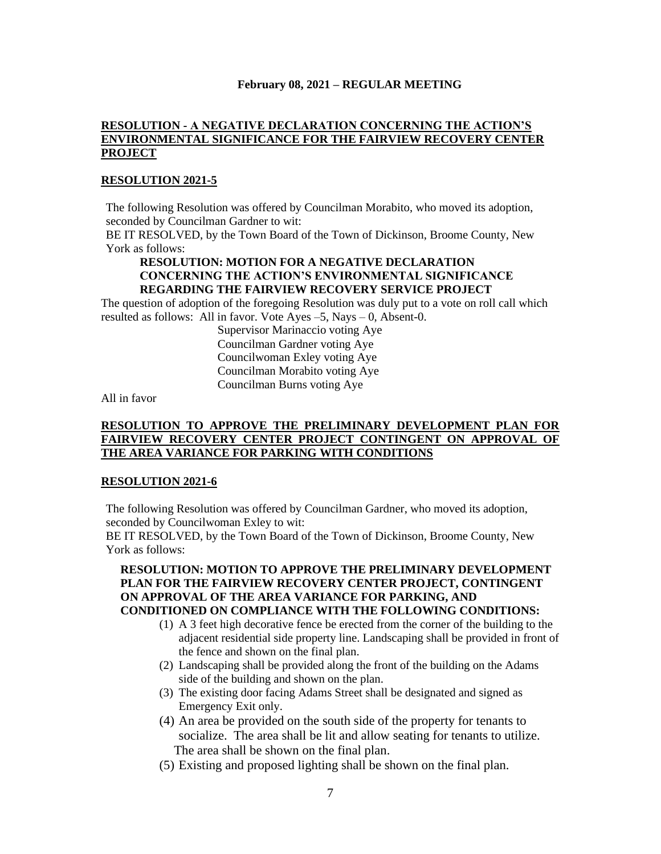# **RESOLUTION - A NEGATIVE DECLARATION CONCERNING THE ACTION'S ENVIRONMENTAL SIGNIFICANCE FOR THE FAIRVIEW RECOVERY CENTER PROJECT**

### **RESOLUTION 2021-5**

The following Resolution was offered by Councilman Morabito, who moved its adoption, seconded by Councilman Gardner to wit:

BE IT RESOLVED, by the Town Board of the Town of Dickinson, Broome County, New York as follows:

# **RESOLUTION: MOTION FOR A NEGATIVE DECLARATION CONCERNING THE ACTION'S ENVIRONMENTAL SIGNIFICANCE REGARDING THE FAIRVIEW RECOVERY SERVICE PROJECT**

The question of adoption of the foregoing Resolution was duly put to a vote on roll call which resulted as follows: All in favor. Vote Ayes –5, Nays – 0, Absent-0.

Supervisor Marinaccio voting Aye Councilman Gardner voting Aye Councilwoman Exley voting Aye Councilman Morabito voting Aye Councilman Burns voting Aye

All in favor

## **RESOLUTION TO APPROVE THE PRELIMINARY DEVELOPMENT PLAN FOR FAIRVIEW RECOVERY CENTER PROJECT CONTINGENT ON APPROVAL OF THE AREA VARIANCE FOR PARKING WITH CONDITIONS**

#### **RESOLUTION 2021-6**

The following Resolution was offered by Councilman Gardner, who moved its adoption, seconded by Councilwoman Exley to wit:

BE IT RESOLVED, by the Town Board of the Town of Dickinson, Broome County, New York as follows:

## **RESOLUTION: MOTION TO APPROVE THE PRELIMINARY DEVELOPMENT PLAN FOR THE FAIRVIEW RECOVERY CENTER PROJECT, CONTINGENT ON APPROVAL OF THE AREA VARIANCE FOR PARKING, AND CONDITIONED ON COMPLIANCE WITH THE FOLLOWING CONDITIONS:**

- (1) A 3 feet high decorative fence be erected from the corner of the building to the adjacent residential side property line. Landscaping shall be provided in front of the fence and shown on the final plan.
- (2) Landscaping shall be provided along the front of the building on the Adams side of the building and shown on the plan.
- (3) The existing door facing Adams Street shall be designated and signed as Emergency Exit only.
- (4) An area be provided on the south side of the property for tenants to socialize. The area shall be lit and allow seating for tenants to utilize. The area shall be shown on the final plan.
- (5) Existing and proposed lighting shall be shown on the final plan.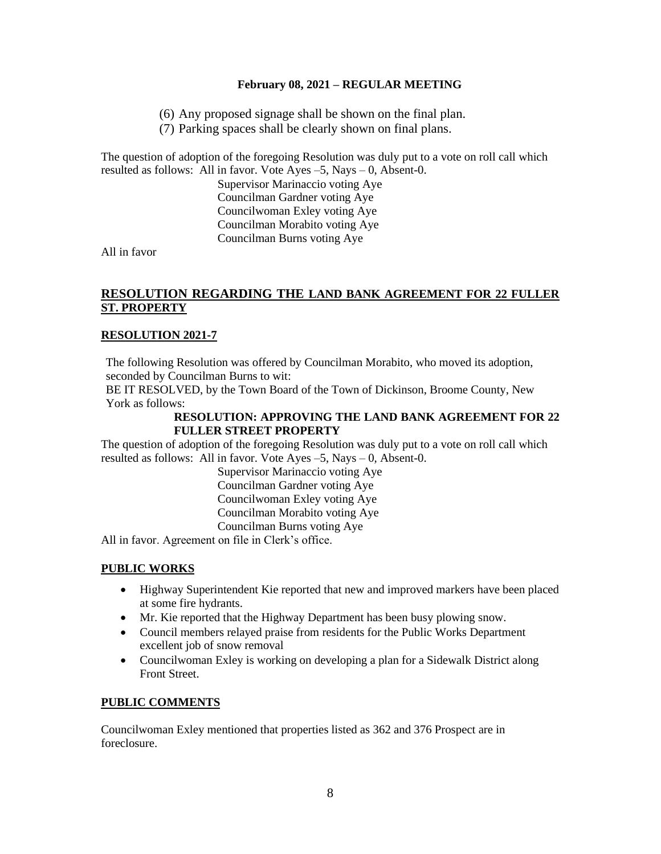- (6) Any proposed signage shall be shown on the final plan.
- (7) Parking spaces shall be clearly shown on final plans.

The question of adoption of the foregoing Resolution was duly put to a vote on roll call which resulted as follows: All in favor. Vote Ayes –5, Nays – 0, Absent-0.

> Supervisor Marinaccio voting Aye Councilman Gardner voting Aye Councilwoman Exley voting Aye Councilman Morabito voting Aye Councilman Burns voting Aye

All in favor

# **RESOLUTION REGARDING THE LAND BANK AGREEMENT FOR 22 FULLER ST. PROPERTY**

# **RESOLUTION 2021-7**

The following Resolution was offered by Councilman Morabito, who moved its adoption, seconded by Councilman Burns to wit:

BE IT RESOLVED, by the Town Board of the Town of Dickinson, Broome County, New York as follows:

## **RESOLUTION: APPROVING THE LAND BANK AGREEMENT FOR 22 FULLER STREET PROPERTY**

The question of adoption of the foregoing Resolution was duly put to a vote on roll call which resulted as follows: All in favor. Vote Ayes –5, Nays – 0, Absent-0.

> Supervisor Marinaccio voting Aye Councilman Gardner voting Aye Councilwoman Exley voting Aye Councilman Morabito voting Aye Councilman Burns voting Aye

All in favor. Agreement on file in Clerk's office.

# **PUBLIC WORKS**

- Highway Superintendent Kie reported that new and improved markers have been placed at some fire hydrants.
- Mr. Kie reported that the Highway Department has been busy plowing snow.
- Council members relayed praise from residents for the Public Works Department excellent job of snow removal
- Councilwoman Exley is working on developing a plan for a Sidewalk District along Front Street.

# **PUBLIC COMMENTS**

Councilwoman Exley mentioned that properties listed as 362 and 376 Prospect are in foreclosure.